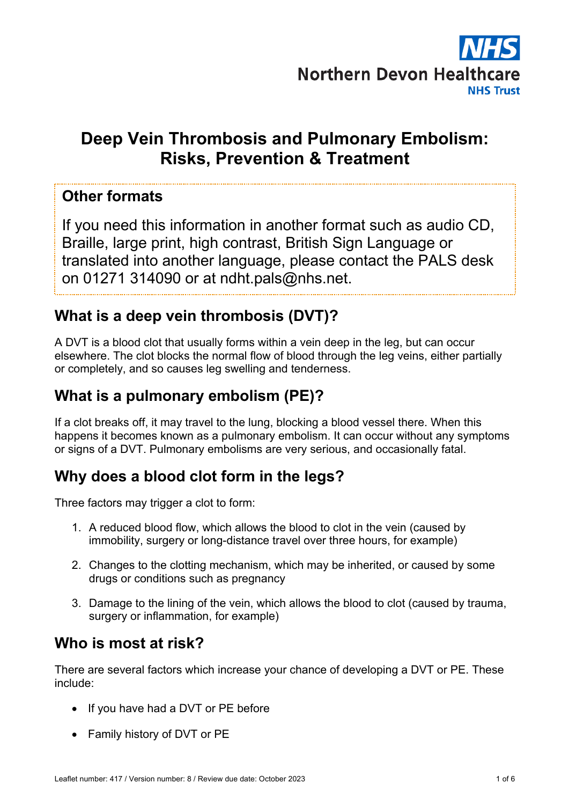

# **Deep Vein Thrombosis and Pulmonary Embolism: Risks, Prevention & Treatment**

#### **Other formats**

If you need this information in another format such as audio CD, Braille, large print, high contrast, British Sign Language or translated into another language, please contact the PALS desk on 01271 314090 or at ndht.pals@nhs.net.

## **What is a deep vein thrombosis (DVT)?**

A DVT is a blood clot that usually forms within a vein deep in the leg, but can occur elsewhere. The clot blocks the normal flow of blood through the leg veins, either partially or completely, and so causes leg swelling and tenderness.

## **What is a pulmonary embolism (PE)?**

If a clot breaks off, it may travel to the lung, blocking a blood vessel there. When this happens it becomes known as a pulmonary embolism. It can occur without any symptoms or signs of a DVT. Pulmonary embolisms are very serious, and occasionally fatal.

## **Why does a blood clot form in the legs?**

Three factors may trigger a clot to form:

- 1. A reduced blood flow, which allows the blood to clot in the vein (caused by immobility, surgery or long-distance travel over three hours, for example)
- 2. Changes to the clotting mechanism, which may be inherited, or caused by some drugs or conditions such as pregnancy
- 3. Damage to the lining of the vein, which allows the blood to clot (caused by trauma, surgery or inflammation, for example)

## **Who is most at risk?**

There are several factors which increase your chance of developing a DVT or PE. These include:

- If you have had a DVT or PE before
- Family history of DVT or PE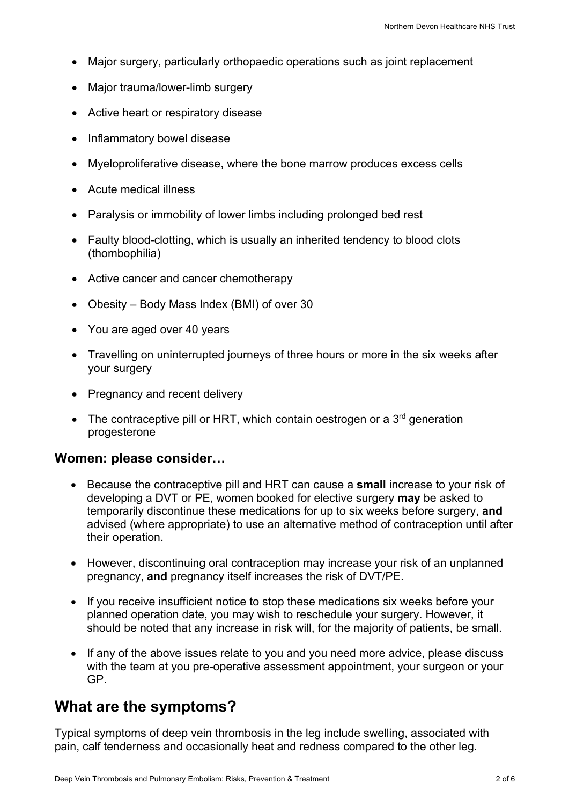- Major surgery, particularly orthopaedic operations such as joint replacement
- Major trauma/lower-limb surgery
- Active heart or respiratory disease
- Inflammatory bowel disease
- Myeloproliferative disease, where the bone marrow produces excess cells
- Acute medical illness
- Paralysis or immobility of lower limbs including prolonged bed rest
- Faulty blood-clotting, which is usually an inherited tendency to blood clots (thombophilia)
- Active cancer and cancer chemotherapy
- Obesity Body Mass Index (BMI) of over 30
- You are aged over 40 years
- Travelling on uninterrupted journeys of three hours or more in the six weeks after your surgery
- Pregnancy and recent delivery
- The contraceptive pill or HRT, which contain oestrogen or a  $3<sup>rd</sup>$  generation progesterone

#### **Women: please consider…**

- Because the contraceptive pill and HRT can cause a **small** increase to your risk of developing a DVT or PE, women booked for elective surgery **may** be asked to temporarily discontinue these medications for up to six weeks before surgery, **and** advised (where appropriate) to use an alternative method of contraception until after their operation.
- However, discontinuing oral contraception may increase your risk of an unplanned pregnancy, **and** pregnancy itself increases the risk of DVT/PE.
- If you receive insufficient notice to stop these medications six weeks before your planned operation date, you may wish to reschedule your surgery. However, it should be noted that any increase in risk will, for the majority of patients, be small.
- If any of the above issues relate to you and you need more advice, please discuss with the team at you pre-operative assessment appointment, your surgeon or your GP.

#### **What are the symptoms?**

Typical symptoms of deep vein thrombosis in the leg include swelling, associated with pain, calf tenderness and occasionally heat and redness compared to the other leg.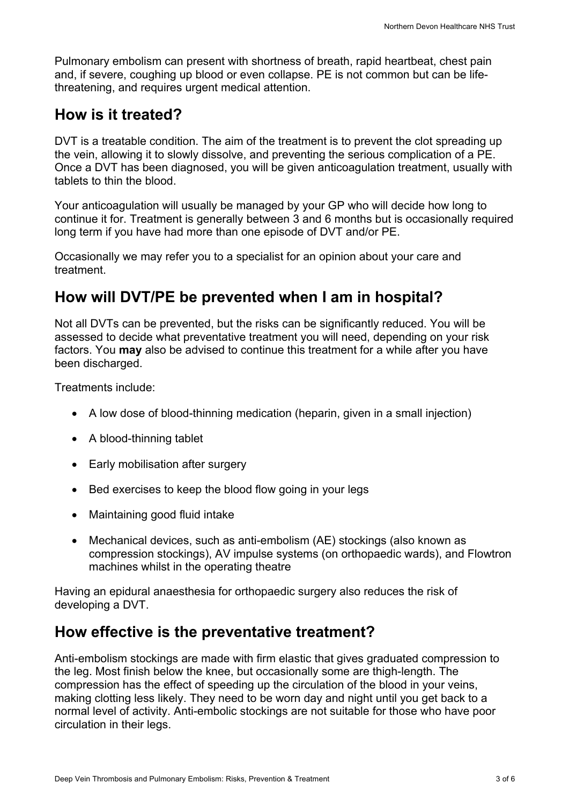Pulmonary embolism can present with shortness of breath, rapid heartbeat, chest pain and, if severe, coughing up blood or even collapse. PE is not common but can be lifethreatening, and requires urgent medical attention.

### **How is it treated?**

DVT is a treatable condition. The aim of the treatment is to prevent the clot spreading up the vein, allowing it to slowly dissolve, and preventing the serious complication of a PE. Once a DVT has been diagnosed, you will be given anticoagulation treatment, usually with tablets to thin the blood.

Your anticoagulation will usually be managed by your GP who will decide how long to continue it for. Treatment is generally between 3 and 6 months but is occasionally required long term if you have had more than one episode of DVT and/or PE.

Occasionally we may refer you to a specialist for an opinion about your care and treatment.

## **How will DVT/PE be prevented when I am in hospital?**

Not all DVTs can be prevented, but the risks can be significantly reduced. You will be assessed to decide what preventative treatment you will need, depending on your risk factors. You **may** also be advised to continue this treatment for a while after you have been discharged.

Treatments include:

- A low dose of blood-thinning medication (heparin, given in a small injection)
- A blood-thinning tablet
- Early mobilisation after surgery
- Bed exercises to keep the blood flow going in your legs
- Maintaining good fluid intake
- Mechanical devices, such as anti-embolism (AE) stockings (also known as compression stockings), AV impulse systems (on orthopaedic wards), and Flowtron machines whilst in the operating theatre

Having an epidural anaesthesia for orthopaedic surgery also reduces the risk of developing a DVT.

#### **How effective is the preventative treatment?**

Anti-embolism stockings are made with firm elastic that gives graduated compression to the leg. Most finish below the knee, but occasionally some are thigh-length. The compression has the effect of speeding up the circulation of the blood in your veins, making clotting less likely. They need to be worn day and night until you get back to a normal level of activity. Anti-embolic stockings are not suitable for those who have poor circulation in their legs.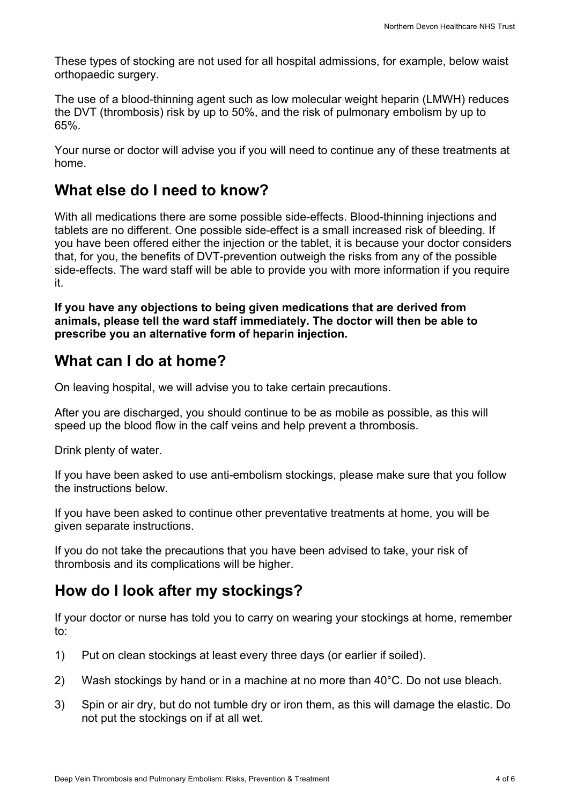These types of stocking are not used for all hospital admissions, for example, below waist orthopaedic surgery.

The use of a blood-thinning agent such as low molecular weight heparin (LMWH) reduces the DVT (thrombosis) risk by up to 50%, and the risk of pulmonary embolism by up to 65%.

Your nurse or doctor will advise you if you will need to continue any of these treatments at home.

### **What else do I need to know?**

With all medications there are some possible side-effects. Blood-thinning injections and tablets are no different. One possible side-effect is a small increased risk of bleeding. If you have been offered either the injection or the tablet, it is because your doctor considers that, for you, the benefits of DVT-prevention outweigh the risks from any of the possible side-effects. The ward staff will be able to provide you with more information if you require it.

**If you have any objections to being given medications that are derived from animals, please tell the ward staff immediately. The doctor will then be able to prescribe you an alternative form of heparin injection.**

### **What can I do at home?**

On leaving hospital, we will advise you to take certain precautions.

After you are discharged, you should continue to be as mobile as possible, as this will speed up the blood flow in the calf veins and help prevent a thrombosis.

Drink plenty of water.

If you have been asked to use anti-embolism stockings, please make sure that you follow the instructions below.

If you have been asked to continue other preventative treatments at home, you will be given separate instructions.

If you do not take the precautions that you have been advised to take, your risk of thrombosis and its complications will be higher.

## **How do I look after my stockings?**

If your doctor or nurse has told you to carry on wearing your stockings at home, remember to:

- 1) Put on clean stockings at least every three days (or earlier if soiled).
- 2) Wash stockings by hand or in a machine at no more than  $40^{\circ}$ C. Do not use bleach.
- 3) Spin or air dry, but do not tumble dry or iron them, as this will damage the elastic. Do not put the stockings on if at all wet.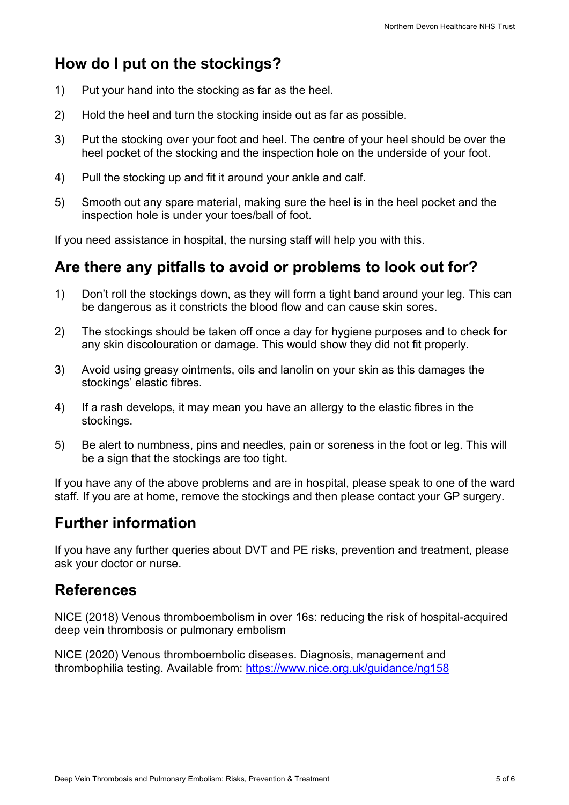# **How do I put on the stockings?**

- 1) Put your hand into the stocking as far as the heel.
- 2) Hold the heel and turn the stocking inside out as far as possible.
- 3) Put the stocking over your foot and heel. The centre of your heel should be over the heel pocket of the stocking and the inspection hole on the underside of your foot.
- 4) Pull the stocking up and fit it around your ankle and calf.
- 5) Smooth out any spare material, making sure the heel is in the heel pocket and the inspection hole is under your toes/ball of foot.

If you need assistance in hospital, the nursing staff will help you with this.

## **Are there any pitfalls to avoid or problems to look out for?**

- 1) Don't roll the stockings down, as they will form a tight band around your leg. This can be dangerous as it constricts the blood flow and can cause skin sores.
- 2) The stockings should be taken off once a day for hygiene purposes and to check for any skin discolouration or damage. This would show they did not fit properly.
- 3) Avoid using greasy ointments, oils and lanolin on your skin as this damages the stockings' elastic fibres.
- 4) If a rash develops, it may mean you have an allergy to the elastic fibres in the stockings.
- 5) Be alert to numbness, pins and needles, pain or soreness in the foot or leg. This will be a sign that the stockings are too tight.

If you have any of the above problems and are in hospital, please speak to one of the ward staff. If you are at home, remove the stockings and then please contact your GP surgery.

## **Further information**

If you have any further queries about DVT and PE risks, prevention and treatment, please ask your doctor or nurse.

## **References**

NICE (2018) Venous thromboembolism in over 16s: reducing the risk of hospital-acquired deep vein thrombosis or pulmonary embolism

NICE (2020) Venous thromboembolic diseases. Diagnosis, management and thrombophilia testing. Available from: https://www.nice.org.uk/guidance/ng158